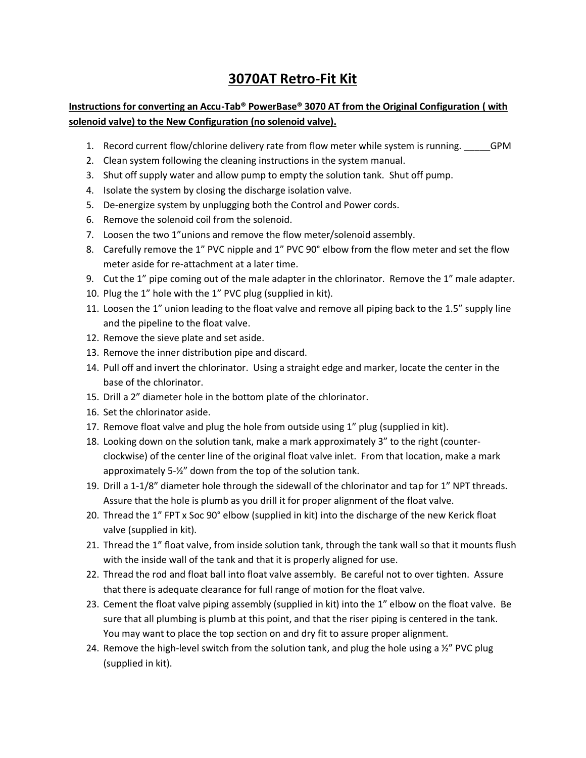## **3070AT Retro-Fit Kit**

## **Instructions for converting an Accu-Tab® PowerBase® 3070 AT from the Original Configuration ( with solenoid valve) to the New Configuration (no solenoid valve).**

- 1. Record current flow/chlorine delivery rate from flow meter while system is running. \_\_\_\_\_GPM
- 2. Clean system following the cleaning instructions in the system manual.
- 3. Shut off supply water and allow pump to empty the solution tank. Shut off pump.
- 4. Isolate the system by closing the discharge isolation valve.
- 5. De-energize system by unplugging both the Control and Power cords.
- 6. Remove the solenoid coil from the solenoid.
- 7. Loosen the two 1"unions and remove the flow meter/solenoid assembly.
- 8. Carefully remove the 1" PVC nipple and 1" PVC 90° elbow from the flow meter and set the flow meter aside for re-attachment at a later time.
- 9. Cut the 1" pipe coming out of the male adapter in the chlorinator. Remove the 1" male adapter.
- 10. Plug the 1" hole with the 1" PVC plug (supplied in kit).
- 11. Loosen the 1" union leading to the float valve and remove all piping back to the 1.5" supply line and the pipeline to the float valve.
- 12. Remove the sieve plate and set aside.
- 13. Remove the inner distribution pipe and discard.
- 14. Pull off and invert the chlorinator. Using a straight edge and marker, locate the center in the base of the chlorinator.
- 15. Drill a 2" diameter hole in the bottom plate of the chlorinator.
- 16. Set the chlorinator aside.
- 17. Remove float valve and plug the hole from outside using 1" plug (supplied in kit).
- 18. Looking down on the solution tank, make a mark approximately 3" to the right (counterclockwise) of the center line of the original float valve inlet. From that location, make a mark approximately 5-½" down from the top of the solution tank.
- 19. Drill a 1-1/8" diameter hole through the sidewall of the chlorinator and tap for 1" NPT threads. Assure that the hole is plumb as you drill it for proper alignment of the float valve.
- 20. Thread the 1" FPT x Soc 90° elbow (supplied in kit) into the discharge of the new Kerick float valve (supplied in kit).
- 21. Thread the 1" float valve, from inside solution tank, through the tank wall so that it mounts flush with the inside wall of the tank and that it is properly aligned for use.
- 22. Thread the rod and float ball into float valve assembly. Be careful not to over tighten. Assure that there is adequate clearance for full range of motion for the float valve.
- 23. Cement the float valve piping assembly (supplied in kit) into the 1" elbow on the float valve. Be sure that all plumbing is plumb at this point, and that the riser piping is centered in the tank. You may want to place the top section on and dry fit to assure proper alignment.
- 24. Remove the high-level switch from the solution tank, and plug the hole using a  $\frac{y}{r}$  PVC plug (supplied in kit).